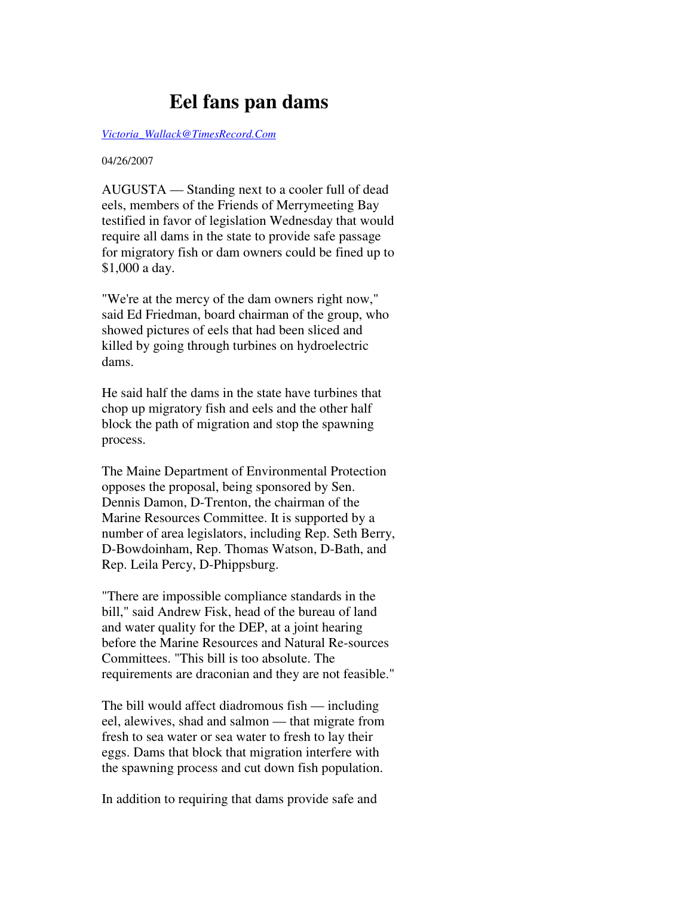## **Eel fans pan dams**

*Victoria\_Wallack@TimesRecord.Com*

## 04/26/2007

AUGUSTA — Standing next to a cooler full of dead eels, members of the Friends of Merrymeeting Bay testified in favor of legislation Wednesday that would require all dams in the state to provide safe passage for migratory fish or dam owners could be fined up to \$1,000 a day.

"We're at the mercy of the dam owners right now," said Ed Friedman, board chairman of the group, who showed pictures of eels that had been sliced and killed by going through turbines on hydroelectric dams.

He said half the dams in the state have turbines that chop up migratory fish and eels and the other half block the path of migration and stop the spawning process.

The Maine Department of Environmental Protection opposes the proposal, being sponsored by Sen. Dennis Damon, D-Trenton, the chairman of the Marine Resources Committee. It is supported by a number of area legislators, including Rep. Seth Berry, D-Bowdoinham, Rep. Thomas Watson, D-Bath, and Rep. Leila Percy, D-Phippsburg.

"There are impossible compliance standards in the bill," said Andrew Fisk, head of the bureau of land and water quality for the DEP, at a joint hearing before the Marine Resources and Natural Re-sources Committees. "This bill is too absolute. The requirements are draconian and they are not feasible."

The bill would affect diadromous fish — including eel, alewives, shad and salmon — that migrate from fresh to sea water or sea water to fresh to lay their eggs. Dams that block that migration interfere with the spawning process and cut down fish population.

In addition to requiring that dams provide safe and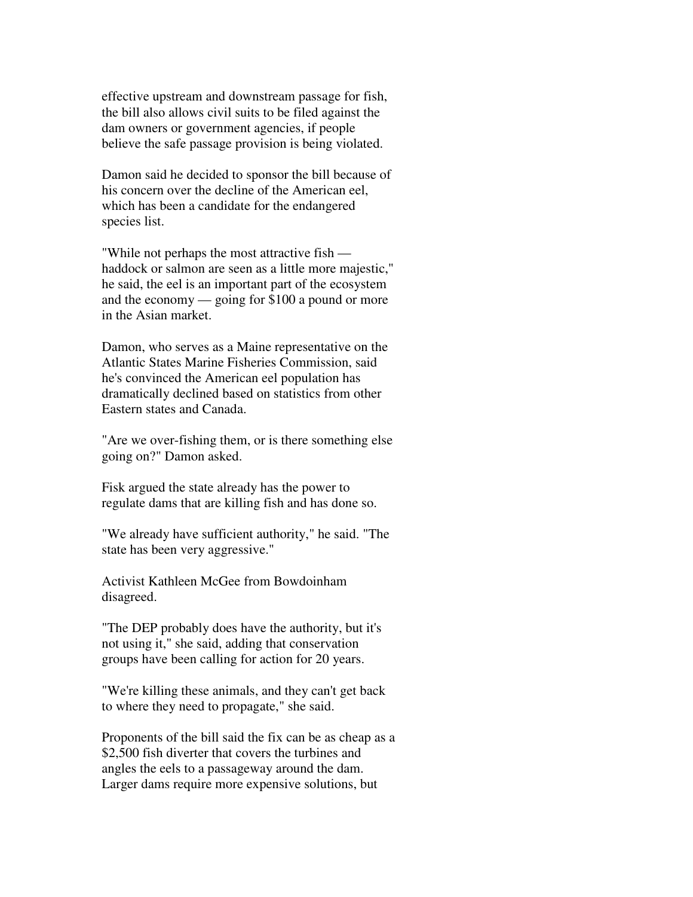effective upstream and downstream passage for fish, the bill also allows civil suits to be filed against the dam owners or government agencies, if people believe the safe passage provision is being violated.

Damon said he decided to sponsor the bill because of his concern over the decline of the American eel, which has been a candidate for the endangered species list.

"While not perhaps the most attractive fish haddock or salmon are seen as a little more majestic," he said, the eel is an important part of the ecosystem and the economy — going for \$100 a pound or more in the Asian market.

Damon, who serves as a Maine representative on the Atlantic States Marine Fisheries Commission, said he's convinced the American eel population has dramatically declined based on statistics from other Eastern states and Canada.

"Are we over-fishing them, or is there something else going on?" Damon asked.

Fisk argued the state already has the power to regulate dams that are killing fish and has done so.

"We already have sufficient authority," he said. "The state has been very aggressive."

Activist Kathleen McGee from Bowdoinham disagreed.

"The DEP probably does have the authority, but it's not using it," she said, adding that conservation groups have been calling for action for 20 years.

"We're killing these animals, and they can't get back to where they need to propagate," she said.

Proponents of the bill said the fix can be as cheap as a \$2,500 fish diverter that covers the turbines and angles the eels to a passageway around the dam. Larger dams require more expensive solutions, but